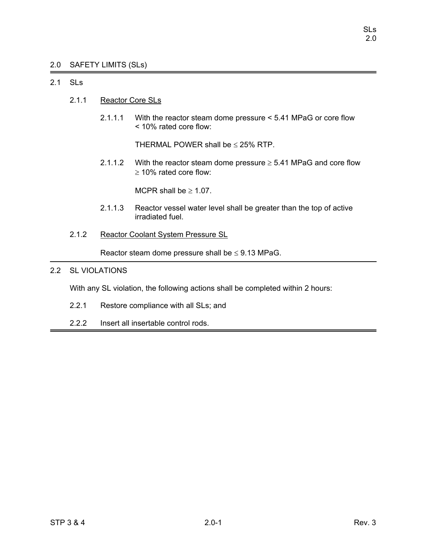# 2.0 SAFETY LIMITS (SLs)

# 2.1 SLs

- 2.1.1 Reactor Core SLs
	- 2.1.1.1 With the reactor steam dome pressure < 5.41 MPaG or core flow < 10% rated core flow:

THERMAL POWER shall be  $\leq$  25% RTP.

2.1.1.2 With the reactor steam dome pressure  $\geq$  5.41 MPaG and core flow ≥ 10% rated core flow:

MCPR shall be  $\geq 1.07$ .

- 2.1.1.3 Reactor vessel water level shall be greater than the top of active irradiated fuel.
- 2.1.2 Reactor Coolant System Pressure SL

Reactor steam dome pressure shall be  $\leq$  9.13 MPaG.

# 2.2 SL VIOLATIONS

With any SL violation, the following actions shall be completed within 2 hours:

- 2.2.1 Restore compliance with all SLs; and
- 2.2.2 Insert all insertable control rods.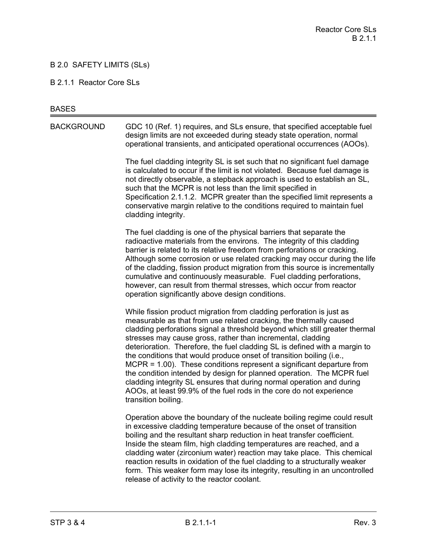# B 2.0 SAFETY LIMITS (SLs)

#### B 2.1.1 Reactor Core SLs

#### **BASES**

BACKGROUND GDC 10 (Ref. 1) requires, and SLs ensure, that specified acceptable fuel design limits are not exceeded during steady state operation, normal operational transients, and anticipated operational occurrences (AOOs).

> The fuel cladding integrity SL is set such that no significant fuel damage is calculated to occur if the limit is not violated. Because fuel damage is not directly observable, a stepback approach is used to establish an SL, such that the MCPR is not less than the limit specified in Specification 2.1.1.2. MCPR greater than the specified limit represents a conservative margin relative to the conditions required to maintain fuel cladding integrity.

The fuel cladding is one of the physical barriers that separate the radioactive materials from the environs. The integrity of this cladding barrier is related to its relative freedom from perforations or cracking. Although some corrosion or use related cracking may occur during the life of the cladding, fission product migration from this source is incrementally cumulative and continuously measurable. Fuel cladding perforations, however, can result from thermal stresses, which occur from reactor operation significantly above design conditions.

While fission product migration from cladding perforation is just as measurable as that from use related cracking, the thermally caused cladding perforations signal a threshold beyond which still greater thermal stresses may cause gross, rather than incremental, cladding deterioration. Therefore, the fuel cladding SL is defined with a margin to the conditions that would produce onset of transition boiling (i.e., MCPR = 1.00). These conditions represent a significant departure from the condition intended by design for planned operation. The MCPR fuel cladding integrity SL ensures that during normal operation and during AOOs, at least 99.9% of the fuel rods in the core do not experience transition boiling.

Operation above the boundary of the nucleate boiling regime could result in excessive cladding temperature because of the onset of transition boiling and the resultant sharp reduction in heat transfer coefficient. Inside the steam film, high cladding temperatures are reached, and a cladding water (zirconium water) reaction may take place. This chemical reaction results in oxidation of the fuel cladding to a structurally weaker form. This weaker form may lose its integrity, resulting in an uncontrolled release of activity to the reactor coolant.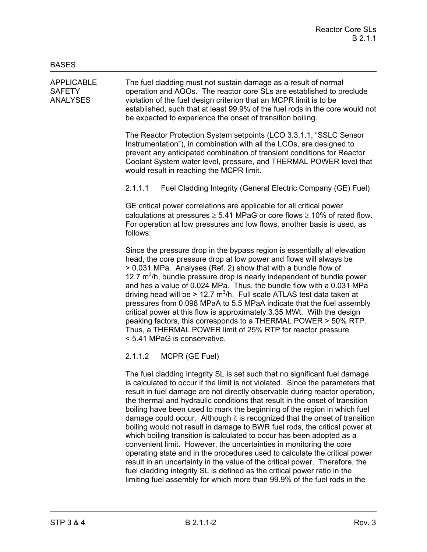APPLICABLE The fuel cladding must not sustain damage as a result of normal SAFETY operation and AOOs. The reactor core SLs are established to preclude ANALYSES violation of the fuel design criterion that an MCPR limit is to be established, such that at least 99.9% of the fuel rods in the core would not be expected to experience the onset of transition boiling.

> The Reactor Protection System setpoints (LCO 3.3.1.1, "SSLC Sensor Instrumentation"), in combination with all the LCOs, are designed to prevent any anticipated combination of transient conditions for Reactor Coolant System water level, pressure, and THERMAL POWER level that would result in reaching the MCPR limit.

# 2.1.1.1 Fuel Cladding Integrity (General Electric Company (GE) Fuel)

GE critical power correlations are applicable for all critical power calculations at pressures  $\geq 5.41$  MPaG or core flows  $\geq 10\%$  of rated flow. For operation at low pressures and low flows, another basis is used, as follows:

Since the pressure drop in the bypass region is essentially all elevation head, the core pressure drop at low power and flows will always be > 0.031 MPa. Analyses (Ref. 2) show that with a bundle flow of 12.7  $m<sup>3</sup>/h$ , bundle pressure drop is nearly independent of bundle power and has a value of 0.024 MPa. Thus, the bundle flow with a 0.031 MPa driving head will be > 12.7  $m^3/h$ . Full scale ATLAS test data taken at pressures from 0.098 MPaA to 5.5 MPaA indicate that the fuel assembly critical power at this flow is approximately 3.35 MWt. With the design peaking factors, this corresponds to a THERMAL POWER > 50% RTP. Thus, a THERMAL POWER limit of 25% RTP for reactor pressure < 5.41 MPaG is conservative.

# 2.1.1.2 MCPR (GE Fuel)

The fuel cladding integrity SL is set such that no significant fuel damage is calculated to occur if the limit is not violated. Since the parameters that result in fuel damage are not directly observable during reactor operation, the thermal and hydraulic conditions that result in the onset of transition boiling have been used to mark the beginning of the region in which fuel damage could occur. Although it is recognized that the onset of transition boiling would not result in damage to BWR fuel rods, the critical power at which boiling transition is calculated to occur has been adopted as a convenient limit. However, the uncertainties in monitoring the core operating state and in the procedures used to calculate the critical power result in an uncertainty in the value of the critical power. Therefore, the fuel cladding integrity SL is defined as the critical power ratio in the limiting fuel assembly for which more than 99.9% of the fuel rods in the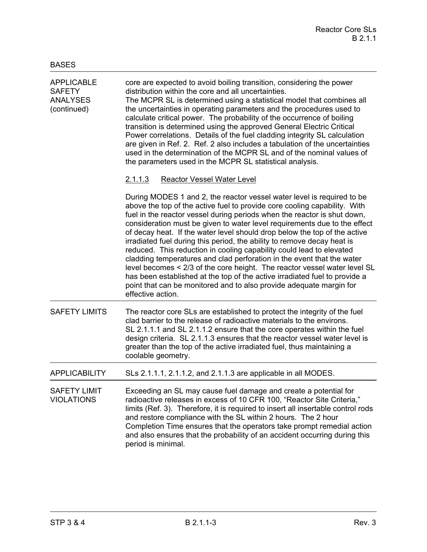| <b>APPLICABLE</b><br><b>SAFETY</b><br><b>ANALYSES</b><br>(continued) | core are expected to avoid boiling transition, considering the power<br>distribution within the core and all uncertainties.<br>The MCPR SL is determined using a statistical model that combines all<br>the uncertainties in operating parameters and the procedures used to<br>calculate critical power. The probability of the occurrence of boiling<br>transition is determined using the approved General Electric Critical<br>Power correlations. Details of the fuel cladding integrity SL calculation<br>are given in Ref. 2. Ref. 2 also includes a tabulation of the uncertainties<br>used in the determination of the MCPR SL and of the nominal values of<br>the parameters used in the MCPR SL statistical analysis.                                                                                                                                              |  |
|----------------------------------------------------------------------|-------------------------------------------------------------------------------------------------------------------------------------------------------------------------------------------------------------------------------------------------------------------------------------------------------------------------------------------------------------------------------------------------------------------------------------------------------------------------------------------------------------------------------------------------------------------------------------------------------------------------------------------------------------------------------------------------------------------------------------------------------------------------------------------------------------------------------------------------------------------------------|--|
|                                                                      | <b>Reactor Vessel Water Level</b><br><u>2.1.1.3</u>                                                                                                                                                                                                                                                                                                                                                                                                                                                                                                                                                                                                                                                                                                                                                                                                                           |  |
|                                                                      | During MODES 1 and 2, the reactor vessel water level is required to be<br>above the top of the active fuel to provide core cooling capability. With<br>fuel in the reactor vessel during periods when the reactor is shut down,<br>consideration must be given to water level requirements due to the effect<br>of decay heat. If the water level should drop below the top of the active<br>irradiated fuel during this period, the ability to remove decay heat is<br>reduced. This reduction in cooling capability could lead to elevated<br>cladding temperatures and clad perforation in the event that the water<br>level becomes < 2/3 of the core height. The reactor vessel water level SL<br>has been established at the top of the active irradiated fuel to provide a<br>point that can be monitored and to also provide adequate margin for<br>effective action. |  |
| <b>SAFETY LIMITS</b>                                                 | The reactor core SLs are established to protect the integrity of the fuel<br>clad barrier to the release of radioactive materials to the environs.<br>SL 2.1.1.1 and SL 2.1.1.2 ensure that the core operates within the fuel<br>design criteria. SL 2.1.1.3 ensures that the reactor vessel water level is<br>greater than the top of the active irradiated fuel, thus maintaining a<br>coolable geometry.                                                                                                                                                                                                                                                                                                                                                                                                                                                                   |  |
| <b>APPLICABILITY</b>                                                 | SLs 2.1.1.1, 2.1.1.2, and 2.1.1.3 are applicable in all MODES.                                                                                                                                                                                                                                                                                                                                                                                                                                                                                                                                                                                                                                                                                                                                                                                                                |  |
| <b>SAFETY LIMIT</b><br><b>VIOLATIONS</b>                             | Exceeding an SL may cause fuel damage and create a potential for<br>radioactive releases in excess of 10 CFR 100, "Reactor Site Criteria,"<br>limits (Ref. 3). Therefore, it is required to insert all insertable control rods<br>and restore compliance with the SL within 2 hours. The 2 hour<br>Completion Time ensures that the operators take prompt remedial action<br>and also ensures that the probability of an accident occurring during this<br>period is minimal.                                                                                                                                                                                                                                                                                                                                                                                                 |  |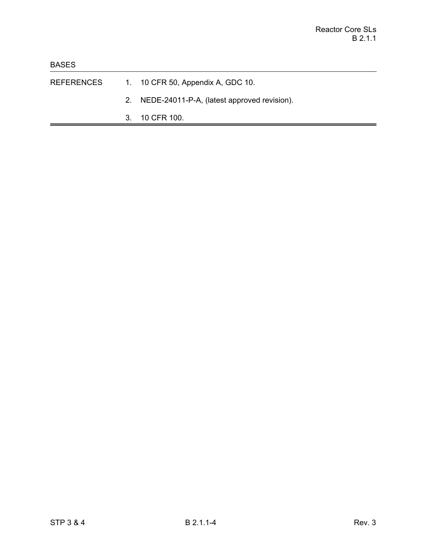- REFERENCES 1. 10 CFR 50, Appendix A, GDC 10.
	- 2. NEDE-24011-P-A, (latest approved revision).
	- 3. 10 CFR 100.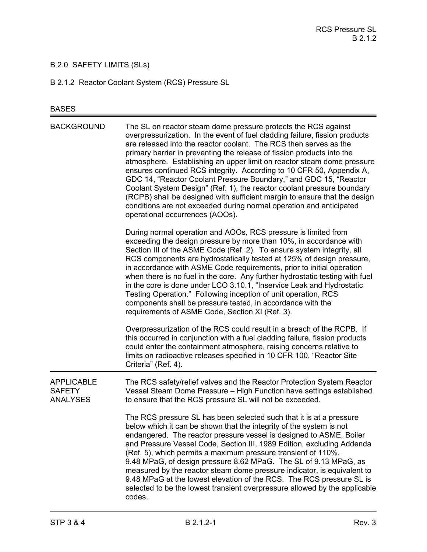# B 2.0 SAFETY LIMITS (SLs)

B 2.1.2 Reactor Coolant System (RCS) Pressure SL

# BASES

| <b>BACKGROUND</b>                                     | The SL on reactor steam dome pressure protects the RCS against<br>overpressurization. In the event of fuel cladding failure, fission products<br>are released into the reactor coolant. The RCS then serves as the<br>primary barrier in preventing the release of fission products into the<br>atmosphere. Establishing an upper limit on reactor steam dome pressure<br>ensures continued RCS integrity. According to 10 CFR 50, Appendix A,<br>GDC 14, "Reactor Coolant Pressure Boundary," and GDC 15, "Reactor<br>Coolant System Design" (Ref. 1), the reactor coolant pressure boundary<br>(RCPB) shall be designed with sufficient margin to ensure that the design<br>conditions are not exceeded during normal operation and anticipated<br>operational occurrences (AOOs). |
|-------------------------------------------------------|--------------------------------------------------------------------------------------------------------------------------------------------------------------------------------------------------------------------------------------------------------------------------------------------------------------------------------------------------------------------------------------------------------------------------------------------------------------------------------------------------------------------------------------------------------------------------------------------------------------------------------------------------------------------------------------------------------------------------------------------------------------------------------------|
|                                                       | During normal operation and AOOs, RCS pressure is limited from<br>exceeding the design pressure by more than 10%, in accordance with<br>Section III of the ASME Code (Ref. 2). To ensure system integrity, all<br>RCS components are hydrostatically tested at 125% of design pressure,<br>in accordance with ASME Code requirements, prior to initial operation<br>when there is no fuel in the core. Any further hydrostatic testing with fuel<br>in the core is done under LCO 3.10.1, "Inservice Leak and Hydrostatic<br>Testing Operation." Following inception of unit operation, RCS<br>components shall be pressure tested, in accordance with the<br>requirements of ASME Code, Section XI (Ref. 3).                                                                        |
|                                                       | Overpressurization of the RCS could result in a breach of the RCPB. If<br>this occurred in conjunction with a fuel cladding failure, fission products<br>could enter the containment atmosphere, raising concerns relative to<br>limits on radioactive releases specified in 10 CFR 100, "Reactor Site<br>Criteria" (Ref. 4).                                                                                                                                                                                                                                                                                                                                                                                                                                                        |
| <b>APPLICABLE</b><br><b>SAFETY</b><br><b>ANALYSES</b> | The RCS safety/relief valves and the Reactor Protection System Reactor<br>Vessel Steam Dome Pressure - High Function have settings established<br>to ensure that the RCS pressure SL will not be exceeded.                                                                                                                                                                                                                                                                                                                                                                                                                                                                                                                                                                           |
|                                                       | The RCS pressure SL has been selected such that it is at a pressure<br>below which it can be shown that the integrity of the system is not<br>endangered. The reactor pressure vessel is designed to ASME, Boiler<br>and Pressure Vessel Code, Section III, 1989 Edition, excluding Addenda<br>(Ref. 5), which permits a maximum pressure transient of 110%,<br>9.48 MPaG, of design pressure 8.62 MPaG. The SL of 9.13 MPaG, as<br>measured by the reactor steam dome pressure indicator, is equivalent to<br>9.48 MPaG at the lowest elevation of the RCS. The RCS pressure SL is<br>selected to be the lowest transient overpressure allowed by the applicable<br>codes.                                                                                                          |